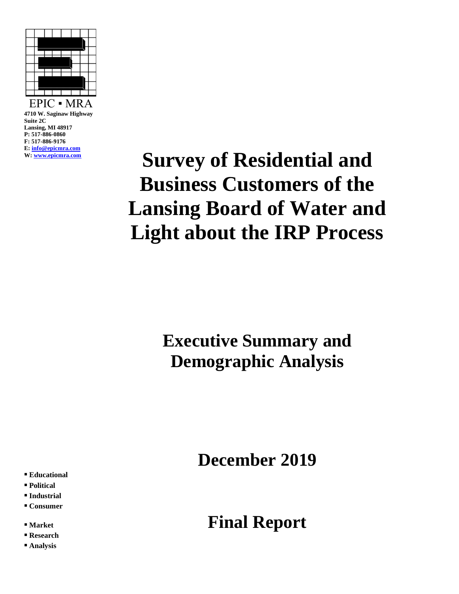

**4710 W. Saginaw Highway Suite 2C Lansing, MI 48917 P: 517-886-0860 F: 517-886-9176 E[: info@epicmra.com](mailto:info@epicmra.com) W: [www.epicmra.com](http://www.epicmra.com/)**

# **Survey of Residential and Business Customers of the Lansing Board of Water and Light about the IRP Process**

## **Executive Summary and Demographic Analysis**

**December 2019**

- **▪ Educational**
- **▪ Political**
- **▪ Industrial**
- **▪ Consumer**
- **▪ Market**
- **▪ Research**
- **▪ Analysis**

### **Final Report**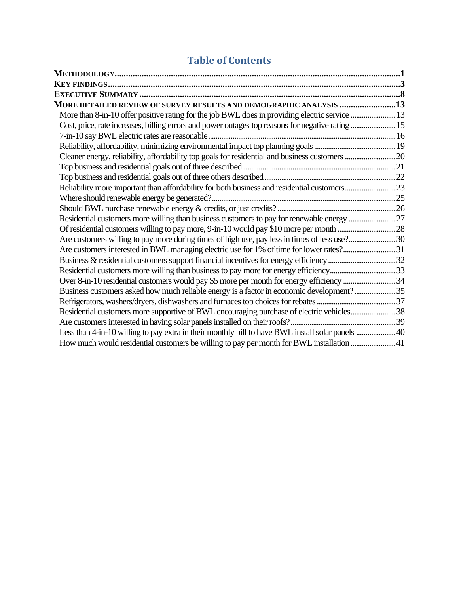### **Table of Contents**

| MORE DETAILED REVIEW OF SURVEY RESULTS AND DEMOGRAPHIC ANALYSIS 13                                |  |
|---------------------------------------------------------------------------------------------------|--|
| More than 8-in-10 offer positive rating for the job BWL does in providing electric service  13    |  |
| Cost, price, rate increases, billing errors and power outages top reasons for negative rating  15 |  |
|                                                                                                   |  |
|                                                                                                   |  |
|                                                                                                   |  |
|                                                                                                   |  |
|                                                                                                   |  |
|                                                                                                   |  |
|                                                                                                   |  |
|                                                                                                   |  |
| Residential customers more willing than business customers to pay for renewable energy 27         |  |
|                                                                                                   |  |
| Are customers willing to pay more during times of high use, pay less in times of less use?30      |  |
| Are customers interested in BWL managing electric use for 1% of time for lower rates?31           |  |
|                                                                                                   |  |
| Residential customers more willing than business to pay more for energy efficiency33              |  |
| Over 8-in-10 residential customers would pay \$5 more per month for energy efficiency 34          |  |
| Business customers asked how much reliable energy is a factor in economic development?35          |  |
|                                                                                                   |  |
| Residential customers more supportive of BWL encouraging purchase of electric vehicles38          |  |
|                                                                                                   |  |
| Less than 4-in-10 willing to pay extra in their monthly bill to have BWL install solar panels 40  |  |
| How much would residential customers be willing to pay per month for BWL installation 41          |  |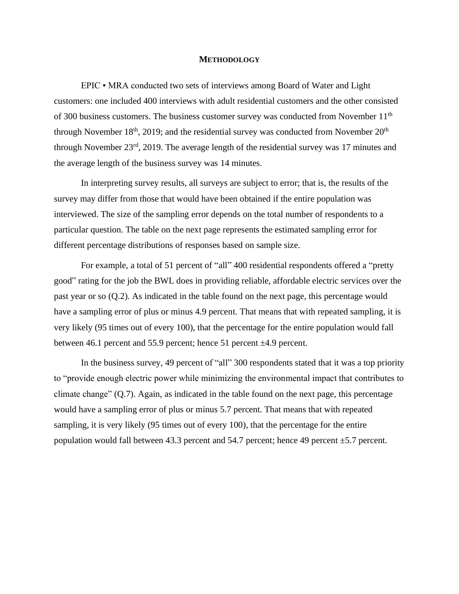#### **METHODOLOGY**

<span id="page-2-0"></span>EPIC • MRA conducted two sets of interviews among Board of Water and Light customers: one included 400 interviews with adult residential customers and the other consisted of 300 business customers. The business customer survey was conducted from November  $11<sup>th</sup>$ through November  $18<sup>th</sup>$ , 2019; and the residential survey was conducted from November  $20<sup>th</sup>$ through November 23rd, 2019. The average length of the residential survey was 17 minutes and the average length of the business survey was 14 minutes.

In interpreting survey results, all surveys are subject to error; that is, the results of the survey may differ from those that would have been obtained if the entire population was interviewed. The size of the sampling error depends on the total number of respondents to a particular question. The table on the next page represents the estimated sampling error for different percentage distributions of responses based on sample size.

For example, a total of 51 percent of "all" 400 residential respondents offered a "pretty good" rating for the job the BWL does in providing reliable, affordable electric services over the past year or so (Q.2). As indicated in the table found on the next page, this percentage would have a sampling error of plus or minus 4.9 percent. That means that with repeated sampling, it is very likely (95 times out of every 100), that the percentage for the entire population would fall between 46.1 percent and 55.9 percent; hence 51 percent  $\pm$ 4.9 percent.

In the business survey, 49 percent of "all" 300 respondents stated that it was a top priority to "provide enough electric power while minimizing the environmental impact that contributes to climate change" (Q.7). Again, as indicated in the table found on the next page, this percentage would have a sampling error of plus or minus 5.7 percent. That means that with repeated sampling, it is very likely (95 times out of every 100), that the percentage for the entire population would fall between 43.3 percent and 54.7 percent; hence 49 percent ±5.7 percent.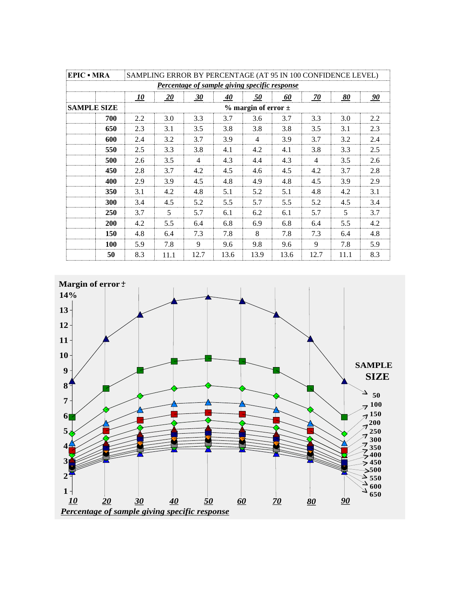| SAMPLING ERROR BY PERCENTAGE (AT 95 IN 100 CONFIDENCE LEVEL)<br><b>EPIC • MRA</b> |     |                           |      |      |      |      |      |                |           |     |
|-----------------------------------------------------------------------------------|-----|---------------------------|------|------|------|------|------|----------------|-----------|-----|
| Percentage of sample giving specific response                                     |     |                           |      |      |      |      |      |                |           |     |
|                                                                                   |     | <u>10</u>                 | 20   | 30   | 40   | 50   | 60   | <u>70</u>      | <u>80</u> | 90  |
| <b>SAMPLE SIZE</b>                                                                |     | $%$ margin of error $\pm$ |      |      |      |      |      |                |           |     |
|                                                                                   | 700 | 2.2                       | 3.0  | 3.3  | 3.7  | 3.6  | 3.7  | 3.3            | 3.0       | 2.2 |
|                                                                                   | 650 | 2.3                       | 3.1  | 3.5  | 3.8  | 3.8  | 3.8  | 3.5            | 3.1       | 2.3 |
|                                                                                   | 600 | 2.4                       | 3.2  | 3.7  | 3.9  | 4    | 3.9  | 3.7            | 3.2       | 2.4 |
|                                                                                   | 550 | 2.5                       | 3.3  | 3.8  | 4.1  | 4.2  | 4.1  | 3.8            | 3.3       | 2.5 |
|                                                                                   | 500 | 2.6                       | 3.5  | 4    | 4.3  | 4.4  | 4.3  | $\overline{4}$ | 3.5       | 2.6 |
|                                                                                   | 450 | 2.8                       | 3.7  | 4.2  | 4.5  | 4.6  | 4.5  | 4.2            | 3.7       | 2.8 |
|                                                                                   | 400 | 2.9                       | 3.9  | 4.5  | 4.8  | 4.9  | 4.8  | 4.5            | 3.9       | 2.9 |
|                                                                                   | 350 | 3.1                       | 4.2  | 4.8  | 5.1  | 5.2  | 5.1  | 4.8            | 4.2       | 3.1 |
|                                                                                   | 300 | 3.4                       | 4.5  | 5.2  | 5.5  | 5.7  | 5.5  | 5.2            | 4.5       | 3.4 |
|                                                                                   | 250 | 3.7                       | 5    | 5.7  | 6.1  | 6.2  | 6.1  | 5.7            | 5         | 3.7 |
|                                                                                   | 200 | 4.2                       | 5.5  | 6.4  | 6.8  | 6.9  | 6.8  | 6.4            | 5.5       | 4.2 |
|                                                                                   | 150 | 4.8                       | 6.4  | 7.3  | 7.8  | 8    | 7.8  | 7.3            | 6.4       | 4.8 |
|                                                                                   | 100 | 5.9                       | 7.8  | 9    | 9.6  | 9.8  | 9.6  | 9              | 7.8       | 5.9 |
|                                                                                   | 50  | 8.3                       | 11.1 | 12.7 | 13.6 | 13.9 | 13.6 | 12.7           | 11.1      | 8.3 |

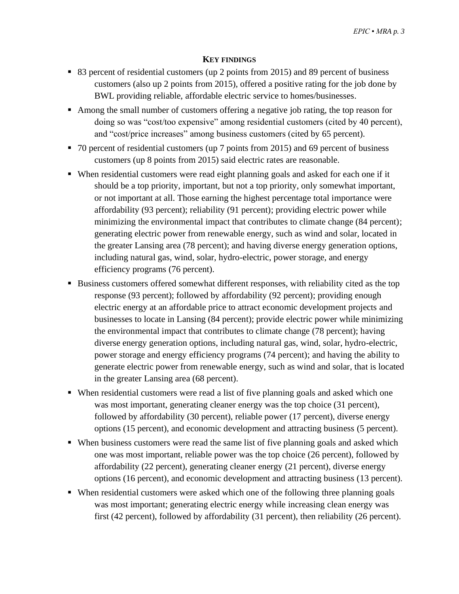#### **KEY FINDINGS**

- <span id="page-4-0"></span>■ 83 percent of residential customers (up 2 points from 2015) and 89 percent of business customers (also up 2 points from 2015), offered a positive rating for the job done by BWL providing reliable, affordable electric service to homes/businesses.
- Among the small number of customers offering a negative job rating, the top reason for doing so was "cost/too expensive" among residential customers (cited by 40 percent), and "cost/price increases" among business customers (cited by 65 percent).
- 70 percent of residential customers (up 7 points from 2015) and 69 percent of business customers (up 8 points from 2015) said electric rates are reasonable.
- When residential customers were read eight planning goals and asked for each one if it should be a top priority, important, but not a top priority, only somewhat important, or not important at all. Those earning the highest percentage total importance were affordability (93 percent); reliability (91 percent); providing electric power while minimizing the environmental impact that contributes to climate change (84 percent); generating electric power from renewable energy, such as wind and solar, located in the greater Lansing area (78 percent); and having diverse energy generation options, including natural gas, wind, solar, hydro-electric, power storage, and energy efficiency programs (76 percent).
- Business customers offered somewhat different responses, with reliability cited as the top response (93 percent); followed by affordability (92 percent); providing enough electric energy at an affordable price to attract economic development projects and businesses to locate in Lansing (84 percent); provide electric power while minimizing the environmental impact that contributes to climate change (78 percent); having diverse energy generation options, including natural gas, wind, solar, hydro-electric, power storage and energy efficiency programs (74 percent); and having the ability to generate electric power from renewable energy, such as wind and solar, that is located in the greater Lansing area (68 percent).
- When residential customers were read a list of five planning goals and asked which one was most important, generating cleaner energy was the top choice (31 percent), followed by affordability (30 percent), reliable power (17 percent), diverse energy options (15 percent), and economic development and attracting business (5 percent).
- When business customers were read the same list of five planning goals and asked which one was most important, reliable power was the top choice (26 percent), followed by affordability (22 percent), generating cleaner energy (21 percent), diverse energy options (16 percent), and economic development and attracting business (13 percent).
- When residential customers were asked which one of the following three planning goals was most important; generating electric energy while increasing clean energy was first (42 percent), followed by affordability (31 percent), then reliability (26 percent).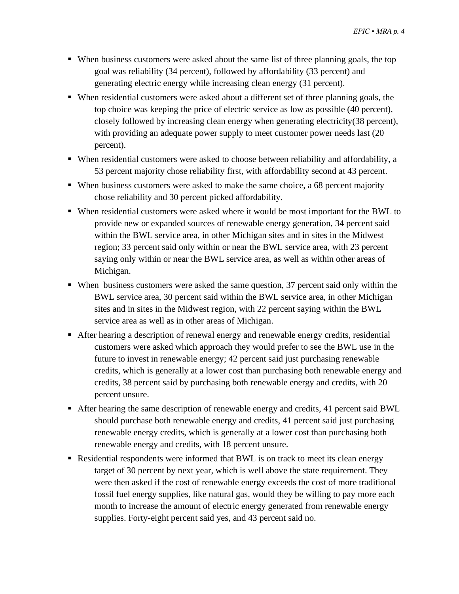- When business customers were asked about the same list of three planning goals, the top goal was reliability (34 percent), followed by affordability (33 percent) and generating electric energy while increasing clean energy (31 percent).
- When residential customers were asked about a different set of three planning goals, the top choice was keeping the price of electric service as low as possible (40 percent), closely followed by increasing clean energy when generating electricity(38 percent), with providing an adequate power supply to meet customer power needs last (20 percent).
- When residential customers were asked to choose between reliability and affordability, a 53 percent majority chose reliability first, with affordability second at 43 percent.
- When business customers were asked to make the same choice, a 68 percent majority chose reliability and 30 percent picked affordability.
- When residential customers were asked where it would be most important for the BWL to provide new or expanded sources of renewable energy generation, 34 percent said within the BWL service area, in other Michigan sites and in sites in the Midwest region; 33 percent said only within or near the BWL service area, with 23 percent saying only within or near the BWL service area, as well as within other areas of Michigan.
- When business customers were asked the same question, 37 percent said only within the BWL service area, 30 percent said within the BWL service area, in other Michigan sites and in sites in the Midwest region, with 22 percent saying within the BWL service area as well as in other areas of Michigan.
- After hearing a description of renewal energy and renewable energy credits, residential customers were asked which approach they would prefer to see the BWL use in the future to invest in renewable energy; 42 percent said just purchasing renewable credits, which is generally at a lower cost than purchasing both renewable energy and credits, 38 percent said by purchasing both renewable energy and credits, with 20 percent unsure.
- After hearing the same description of renewable energy and credits, 41 percent said BWL should purchase both renewable energy and credits, 41 percent said just purchasing renewable energy credits, which is generally at a lower cost than purchasing both renewable energy and credits, with 18 percent unsure.
- Residential respondents were informed that BWL is on track to meet its clean energy target of 30 percent by next year, which is well above the state requirement. They were then asked if the cost of renewable energy exceeds the cost of more traditional fossil fuel energy supplies, like natural gas, would they be willing to pay more each month to increase the amount of electric energy generated from renewable energy supplies. Forty-eight percent said yes, and 43 percent said no.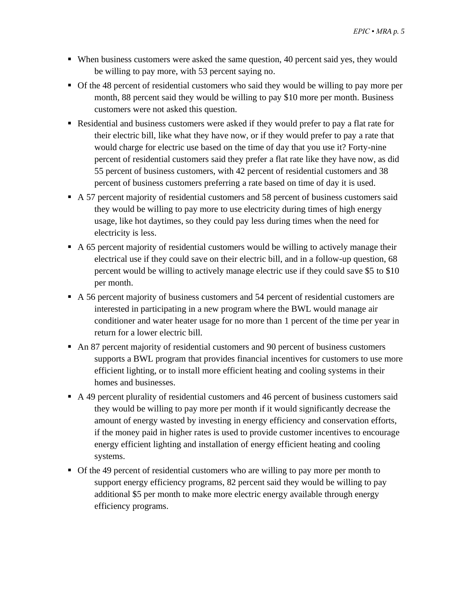- When business customers were asked the same question, 40 percent said yes, they would be willing to pay more, with 53 percent saying no.
- Of the 48 percent of residential customers who said they would be willing to pay more per month, 88 percent said they would be willing to pay \$10 more per month. Business customers were not asked this question.
- Residential and business customers were asked if they would prefer to pay a flat rate for their electric bill, like what they have now, or if they would prefer to pay a rate that would charge for electric use based on the time of day that you use it? Forty-nine percent of residential customers said they prefer a flat rate like they have now, as did 55 percent of business customers, with 42 percent of residential customers and 38 percent of business customers preferring a rate based on time of day it is used.
- A 57 percent majority of residential customers and 58 percent of business customers said they would be willing to pay more to use electricity during times of high energy usage, like hot daytimes, so they could pay less during times when the need for electricity is less.
- A 65 percent majority of residential customers would be willing to actively manage their electrical use if they could save on their electric bill, and in a follow-up question, 68 percent would be willing to actively manage electric use if they could save \$5 to \$10 per month.
- A 56 percent majority of business customers and 54 percent of residential customers are interested in participating in a new program where the BWL would manage air conditioner and water heater usage for no more than 1 percent of the time per year in return for a lower electric bill.
- An 87 percent majority of residential customers and 90 percent of business customers supports a BWL program that provides financial incentives for customers to use more efficient lighting, or to install more efficient heating and cooling systems in their homes and businesses.
- A 49 percent plurality of residential customers and 46 percent of business customers said they would be willing to pay more per month if it would significantly decrease the amount of energy wasted by investing in energy efficiency and conservation efforts, if the money paid in higher rates is used to provide customer incentives to encourage energy efficient lighting and installation of energy efficient heating and cooling systems.
- Of the 49 percent of residential customers who are willing to pay more per month to support energy efficiency programs, 82 percent said they would be willing to pay additional \$5 per month to make more electric energy available through energy efficiency programs.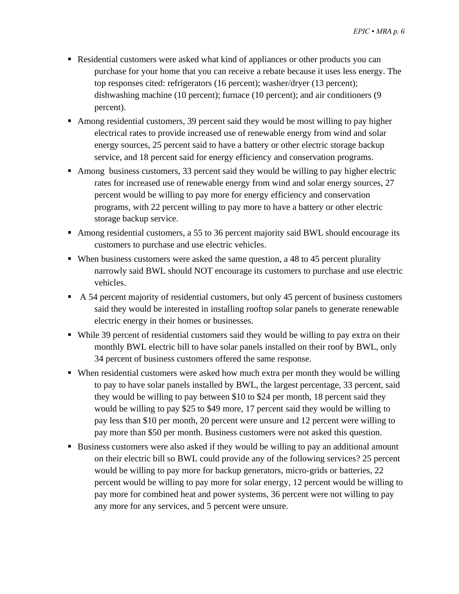- Residential customers were asked what kind of appliances or other products you can purchase for your home that you can receive a rebate because it uses less energy. The top responses cited: refrigerators (16 percent); washer/dryer (13 percent); dishwashing machine (10 percent); furnace (10 percent); and air conditioners (9 percent).
- Among residential customers, 39 percent said they would be most willing to pay higher electrical rates to provide increased use of renewable energy from wind and solar energy sources, 25 percent said to have a battery or other electric storage backup service, and 18 percent said for energy efficiency and conservation programs.
- Among business customers, 33 percent said they would be willing to pay higher electric rates for increased use of renewable energy from wind and solar energy sources, 27 percent would be willing to pay more for energy efficiency and conservation programs, with 22 percent willing to pay more to have a battery or other electric storage backup service.
- Among residential customers, a 55 to 36 percent majority said BWL should encourage its customers to purchase and use electric vehicles.
- When business customers were asked the same question, a 48 to 45 percent plurality narrowly said BWL should NOT encourage its customers to purchase and use electric vehicles.
- A 54 percent majority of residential customers, but only 45 percent of business customers said they would be interested in installing rooftop solar panels to generate renewable electric energy in their homes or businesses.
- While 39 percent of residential customers said they would be willing to pay extra on their monthly BWL electric bill to have solar panels installed on their roof by BWL, only 34 percent of business customers offered the same response.
- When residential customers were asked how much extra per month they would be willing to pay to have solar panels installed by BWL, the largest percentage, 33 percent, said they would be willing to pay between \$10 to \$24 per month, 18 percent said they would be willing to pay \$25 to \$49 more, 17 percent said they would be willing to pay less than \$10 per month, 20 percent were unsure and 12 percent were willing to pay more than \$50 per month. Business customers were not asked this question.
- Business customers were also asked if they would be willing to pay an additional amount on their electric bill so BWL could provide any of the following services? 25 percent would be willing to pay more for backup generators, micro-grids or batteries, 22 percent would be willing to pay more for solar energy, 12 percent would be willing to pay more for combined heat and power systems, 36 percent were not willing to pay any more for any services, and 5 percent were unsure.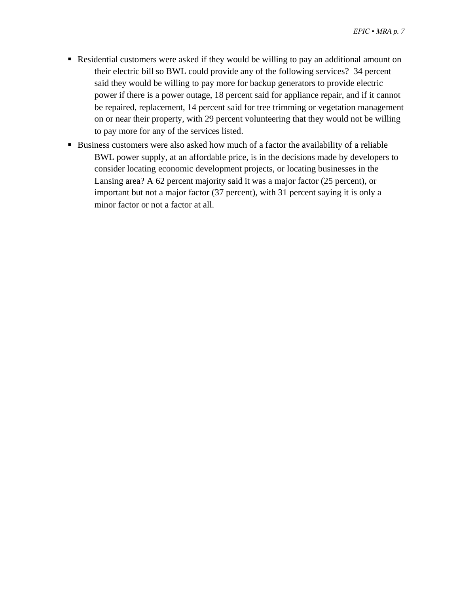- Residential customers were asked if they would be willing to pay an additional amount on their electric bill so BWL could provide any of the following services? 34 percent said they would be willing to pay more for backup generators to provide electric power if there is a power outage, 18 percent said for appliance repair, and if it cannot be repaired, replacement, 14 percent said for tree trimming or vegetation management on or near their property, with 29 percent volunteering that they would not be willing to pay more for any of the services listed.
- Business customers were also asked how much of a factor the availability of a reliable BWL power supply, at an affordable price, is in the decisions made by developers to consider locating economic development projects, or locating businesses in the Lansing area? A 62 percent majority said it was a major factor (25 percent), or important but not a major factor (37 percent), with 31 percent saying it is only a minor factor or not a factor at all.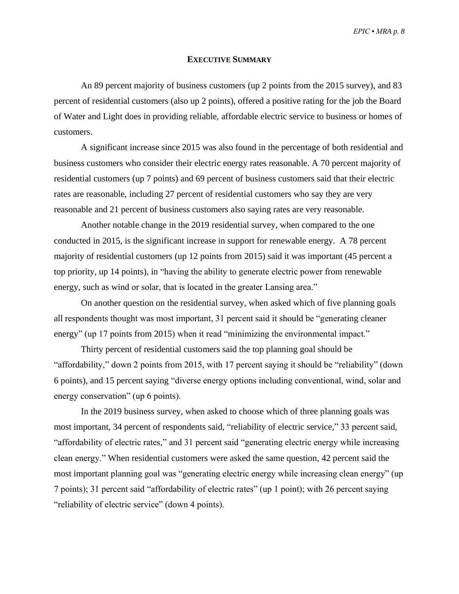*EPIC ▪ MRA p. 8*

#### **EXECUTIVE SUMMARY**

<span id="page-9-0"></span>An 89 percent majority of business customers (up 2 points from the 2015 survey), and 83 percent of residential customers (also up 2 points), offered a positive rating for the job the Board of Water and Light does in providing reliable, affordable electric service to business or homes of customers.

A significant increase since 2015 was also found in the percentage of both residential and business customers who consider their electric energy rates reasonable. A 70 percent majority of residential customers (up 7 points) and 69 percent of business customers said that their electric rates are reasonable, including 27 percent of residential customers who say they are very reasonable and 21 percent of business customers also saying rates are very reasonable.

Another notable change in the 2019 residential survey, when compared to the one conducted in 2015, is the significant increase in support for renewable energy. A 78 percent majority of residential customers (up 12 points from 2015) said it was important (45 percent a top priority, up 14 points), in "having the ability to generate electric power from renewable energy, such as wind or solar, that is located in the greater Lansing area."

On another question on the residential survey, when asked which of five planning goals all respondents thought was most important, 31 percent said it should be "generating cleaner energy" (up 17 points from 2015) when it read "minimizing the environmental impact."

Thirty percent of residential customers said the top planning goal should be "affordability," down 2 points from 2015, with 17 percent saying it should be "reliability" (down 6 points), and 15 percent saying "diverse energy options including conventional, wind, solar and energy conservation" (up 6 points).

In the 2019 business survey, when asked to choose which of three planning goals was most important, 34 percent of respondents said, "reliability of electric service," 33 percent said, "affordability of electric rates," and 31 percent said "generating electric energy while increasing clean energy." When residential customers were asked the same question, 42 percent said the most important planning goal was "generating electric energy while increasing clean energy" (up 7 points); 31 percent said "affordability of electric rates" (up 1 point); with 26 percent saying "reliability of electric service" (down 4 points).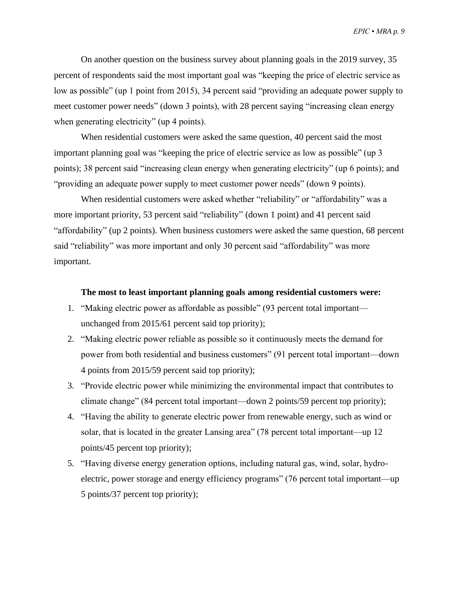On another question on the business survey about planning goals in the 2019 survey, 35 percent of respondents said the most important goal was "keeping the price of electric service as low as possible" (up 1 point from 2015), 34 percent said "providing an adequate power supply to meet customer power needs" (down 3 points), with 28 percent saying "increasing clean energy when generating electricity" (up 4 points).

When residential customers were asked the same question, 40 percent said the most important planning goal was "keeping the price of electric service as low as possible" (up 3 points); 38 percent said "increasing clean energy when generating electricity" (up 6 points); and "providing an adequate power supply to meet customer power needs" (down 9 points).

When residential customers were asked whether "reliability" or "affordability" was a more important priority, 53 percent said "reliability" (down 1 point) and 41 percent said "affordability" (up 2 points). When business customers were asked the same question, 68 percent said "reliability" was more important and only 30 percent said "affordability" was more important.

#### **The most to least important planning goals among residential customers were:**

- 1. "Making electric power as affordable as possible" (93 percent total important unchanged from 2015/61 percent said top priority);
- 2. "Making electric power reliable as possible so it continuously meets the demand for power from both residential and business customers" (91 percent total important—down 4 points from 2015/59 percent said top priority);
- 3. "Provide electric power while minimizing the environmental impact that contributes to climate change" (84 percent total important—down 2 points/59 percent top priority);
- 4. "Having the ability to generate electric power from renewable energy, such as wind or solar, that is located in the greater Lansing area" (78 percent total important—up 12 points/45 percent top priority);
- 5. "Having diverse energy generation options, including natural gas, wind, solar, hydroelectric, power storage and energy efficiency programs" (76 percent total important—up 5 points/37 percent top priority);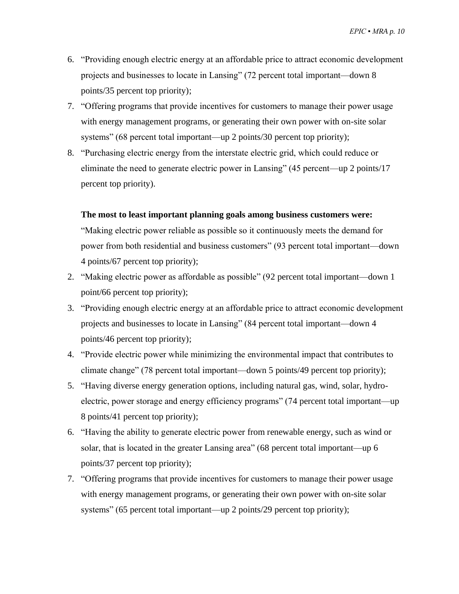- 6. "Providing enough electric energy at an affordable price to attract economic development projects and businesses to locate in Lansing" (72 percent total important—down 8 points/35 percent top priority);
- 7. "Offering programs that provide incentives for customers to manage their power usage with energy management programs, or generating their own power with on-site solar systems" (68 percent total important—up 2 points/30 percent top priority);
- 8. "Purchasing electric energy from the interstate electric grid, which could reduce or eliminate the need to generate electric power in Lansing" (45 percent—up 2 points/17 percent top priority).

#### **The most to least important planning goals among business customers were:**

"Making electric power reliable as possible so it continuously meets the demand for power from both residential and business customers" (93 percent total important—down 4 points/67 percent top priority);

- 2. "Making electric power as affordable as possible" (92 percent total important—down 1 point/66 percent top priority);
- 3. "Providing enough electric energy at an affordable price to attract economic development projects and businesses to locate in Lansing" (84 percent total important—down 4 points/46 percent top priority);
- 4. "Provide electric power while minimizing the environmental impact that contributes to climate change" (78 percent total important—down 5 points/49 percent top priority);
- 5. "Having diverse energy generation options, including natural gas, wind, solar, hydroelectric, power storage and energy efficiency programs" (74 percent total important—up 8 points/41 percent top priority);
- 6. "Having the ability to generate electric power from renewable energy, such as wind or solar, that is located in the greater Lansing area" (68 percent total important—up 6 points/37 percent top priority);
- 7. "Offering programs that provide incentives for customers to manage their power usage with energy management programs, or generating their own power with on-site solar systems" (65 percent total important—up 2 points/29 percent top priority);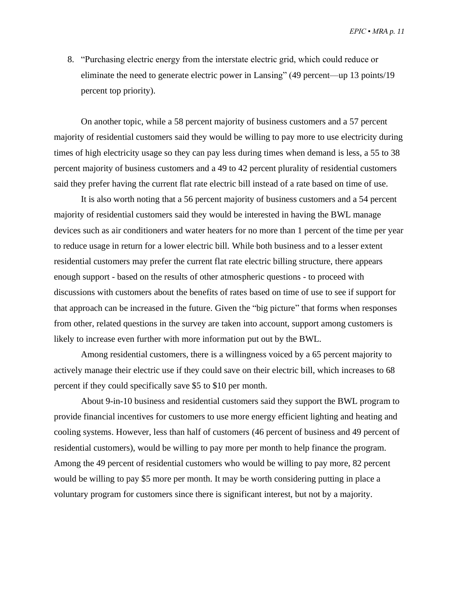8. "Purchasing electric energy from the interstate electric grid, which could reduce or eliminate the need to generate electric power in Lansing" (49 percent—up 13 points/19 percent top priority).

On another topic, while a 58 percent majority of business customers and a 57 percent majority of residential customers said they would be willing to pay more to use electricity during times of high electricity usage so they can pay less during times when demand is less, a 55 to 38 percent majority of business customers and a 49 to 42 percent plurality of residential customers said they prefer having the current flat rate electric bill instead of a rate based on time of use.

It is also worth noting that a 56 percent majority of business customers and a 54 percent majority of residential customers said they would be interested in having the BWL manage devices such as air conditioners and water heaters for no more than 1 percent of the time per year to reduce usage in return for a lower electric bill. While both business and to a lesser extent residential customers may prefer the current flat rate electric billing structure, there appears enough support - based on the results of other atmospheric questions - to proceed with discussions with customers about the benefits of rates based on time of use to see if support for that approach can be increased in the future. Given the "big picture" that forms when responses from other, related questions in the survey are taken into account, support among customers is likely to increase even further with more information put out by the BWL.

Among residential customers, there is a willingness voiced by a 65 percent majority to actively manage their electric use if they could save on their electric bill, which increases to 68 percent if they could specifically save \$5 to \$10 per month.

About 9-in-10 business and residential customers said they support the BWL program to provide financial incentives for customers to use more energy efficient lighting and heating and cooling systems. However, less than half of customers (46 percent of business and 49 percent of residential customers), would be willing to pay more per month to help finance the program. Among the 49 percent of residential customers who would be willing to pay more, 82 percent would be willing to pay \$5 more per month. It may be worth considering putting in place a voluntary program for customers since there is significant interest, but not by a majority.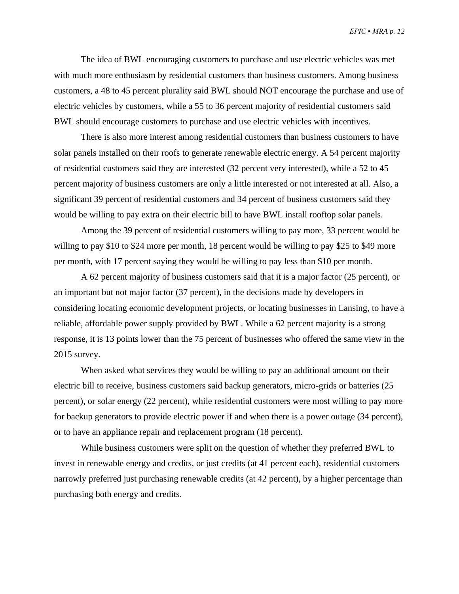The idea of BWL encouraging customers to purchase and use electric vehicles was met with much more enthusiasm by residential customers than business customers. Among business customers, a 48 to 45 percent plurality said BWL should NOT encourage the purchase and use of electric vehicles by customers, while a 55 to 36 percent majority of residential customers said BWL should encourage customers to purchase and use electric vehicles with incentives.

There is also more interest among residential customers than business customers to have solar panels installed on their roofs to generate renewable electric energy. A 54 percent majority of residential customers said they are interested (32 percent very interested), while a 52 to 45 percent majority of business customers are only a little interested or not interested at all. Also, a significant 39 percent of residential customers and 34 percent of business customers said they would be willing to pay extra on their electric bill to have BWL install rooftop solar panels.

Among the 39 percent of residential customers willing to pay more, 33 percent would be willing to pay \$10 to \$24 more per month, 18 percent would be willing to pay \$25 to \$49 more per month, with 17 percent saying they would be willing to pay less than \$10 per month.

A 62 percent majority of business customers said that it is a major factor (25 percent), or an important but not major factor (37 percent), in the decisions made by developers in considering locating economic development projects, or locating businesses in Lansing, to have a reliable, affordable power supply provided by BWL. While a 62 percent majority is a strong response, it is 13 points lower than the 75 percent of businesses who offered the same view in the 2015 survey.

When asked what services they would be willing to pay an additional amount on their electric bill to receive, business customers said backup generators, micro-grids or batteries (25 percent), or solar energy (22 percent), while residential customers were most willing to pay more for backup generators to provide electric power if and when there is a power outage (34 percent), or to have an appliance repair and replacement program (18 percent).

While business customers were split on the question of whether they preferred BWL to invest in renewable energy and credits, or just credits (at 41 percent each), residential customers narrowly preferred just purchasing renewable credits (at 42 percent), by a higher percentage than purchasing both energy and credits.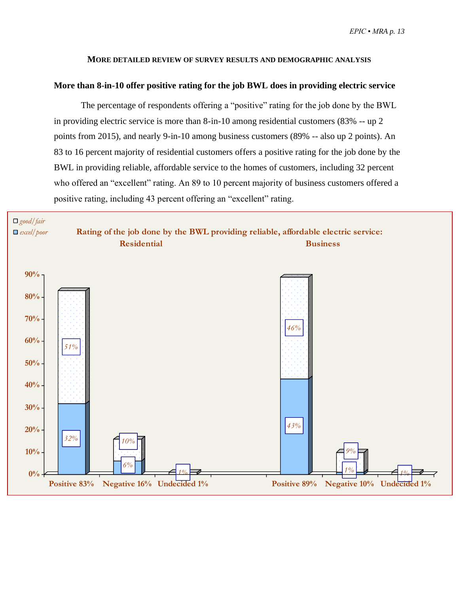#### **MORE DETAILED REVIEW OF SURVEY RESULTS AND DEMOGRAPHIC ANALYSIS**

#### <span id="page-14-1"></span><span id="page-14-0"></span>**More than 8-in-10 offer positive rating for the job BWL does in providing electric service**

The percentage of respondents offering a "positive" rating for the job done by the BWL in providing electric service is more than 8-in-10 among residential customers (83% -- up 2 points from 2015), and nearly 9-in-10 among business customers (89% -- also up 2 points). An 83 to 16 percent majority of residential customers offers a positive rating for the job done by the BWL in providing reliable, affordable service to the homes of customers, including 32 percent who offered an "excellent" rating. An 89 to 10 percent majority of business customers offered a positive rating, including 43 percent offering an "excellent" rating.

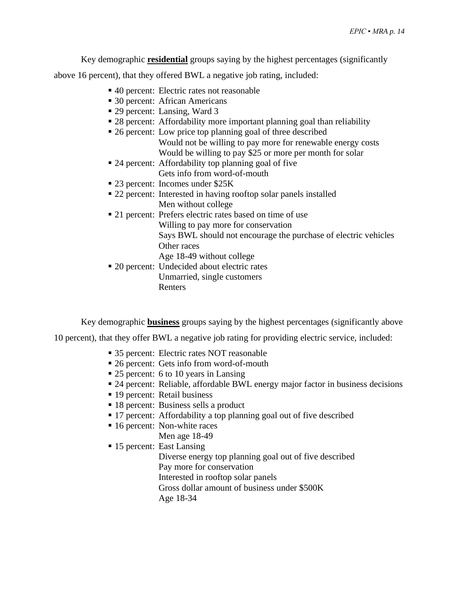Key demographic **residential** groups saying by the highest percentages (significantly

above 16 percent), that they offered BWL a negative job rating, included:

- 40 percent: Electric rates not reasonable
- 30 percent: African Americans
- 29 percent: Lansing, Ward 3
- 28 percent: Affordability more important planning goal than reliability
- 26 percent: Low price top planning goal of three described Would not be willing to pay more for renewable energy costs Would be willing to pay \$25 or more per month for solar
- 24 percent: Affordability top planning goal of five Gets info from word-of-mouth
- 23 percent: Incomes under \$25K
- 22 percent: Interested in having rooftop solar panels installed Men without college
- 21 percent: Prefers electric rates based on time of use Willing to pay more for conservation Says BWL should not encourage the purchase of electric vehicles Other races Age 18-49 without college
- 20 percent: Undecided about electric rates Unmarried, single customers Renters

Key demographic **business** groups saying by the highest percentages (significantly above

10 percent), that they offer BWL a negative job rating for providing electric service, included:

- 35 percent: Electric rates NOT reasonable
- 26 percent: Gets info from word-of-mouth
- 25 percent: 6 to 10 years in Lansing
- 24 percent: Reliable, affordable BWL energy major factor in business decisions
- 19 percent: Retail business
- 18 percent: Business sells a product
- 17 percent: Affordability a top planning goal out of five described
- 16 percent: Non-white races Men age 18-49
- 15 percent: East Lansing

Diverse energy top planning goal out of five described Pay more for conservation Interested in rooftop solar panels Gross dollar amount of business under \$500K

Age 18-34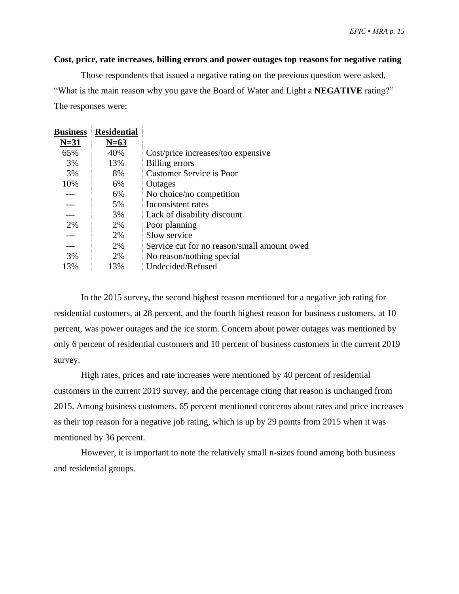#### <span id="page-16-0"></span>**Cost, price, rate increases, billing errors and power outages top reasons for negative rating**

Those respondents that issued a negative rating on the previous question were asked, "What is the main reason why you gave the Board of Water and Light a **NEGATIVE** rating?" The responses were:

| $N=31$<br>$N=63$<br>40%<br>65%<br>Cost/price increases/too expensive<br>3%<br>13%<br>Billing errors<br><b>Customer Service is Poor</b><br>3%<br>8% | <b>Business</b> | <b>Residential</b> |                                             |
|----------------------------------------------------------------------------------------------------------------------------------------------------|-----------------|--------------------|---------------------------------------------|
|                                                                                                                                                    |                 |                    |                                             |
|                                                                                                                                                    |                 |                    |                                             |
|                                                                                                                                                    |                 |                    |                                             |
|                                                                                                                                                    |                 |                    |                                             |
|                                                                                                                                                    | 10%             | 6%                 | Outages                                     |
| No choice/no competition<br>6%                                                                                                                     |                 |                    |                                             |
| Inconsistent rates<br>5%                                                                                                                           |                 |                    |                                             |
| 3%<br>Lack of disability discount                                                                                                                  |                 |                    |                                             |
| 2%<br>Poor planning<br>2%                                                                                                                          |                 |                    |                                             |
| Slow service<br>2%                                                                                                                                 |                 |                    |                                             |
| 2%                                                                                                                                                 |                 |                    | Service cut for no reason/small amount owed |
| 3%<br>2%<br>No reason/nothing special                                                                                                              |                 |                    |                                             |
| Undecided/Refused<br>13%<br>13%                                                                                                                    |                 |                    |                                             |

In the 2015 survey, the second highest reason mentioned for a negative job rating for residential customers, at 28 percent, and the fourth highest reason for business customers, at 10 percent, was power outages and the ice storm. Concern about power outages was mentioned by only 6 percent of residential customers and 10 percent of business customers in the current 2019 survey.

High rates, prices and rate increases were mentioned by 40 percent of residential customers in the current 2019 survey, and the percentage citing that reason is unchanged from 2015. Among business customers, 65 percent mentioned concerns about rates and price increases as their top reason for a negative job rating, which is up by 29 points from 2015 when it was mentioned by 36 percent.

However, it is important to note the relatively small n-sizes found among both business and residential groups.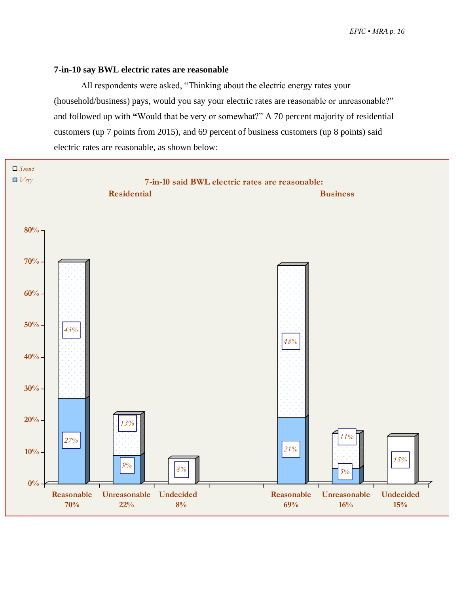#### <span id="page-17-0"></span>**7-in-10 say BWL electric rates are reasonable**

All respondents were asked, "Thinking about the electric energy rates your (household/business) pays, would you say your electric rates are reasonable or unreasonable?" and followed up with **"**Would that be very or somewhat?" A 70 percent majority of residential customers (up 7 points from 2015), and 69 percent of business customers (up 8 points) said electric rates are reasonable, as shown below:

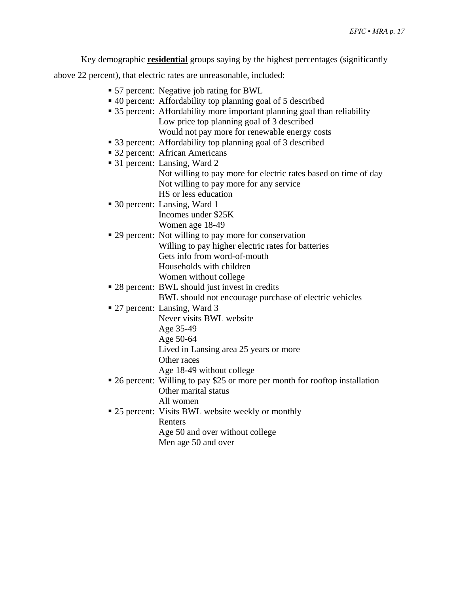Key demographic **residential** groups saying by the highest percentages (significantly

above 22 percent), that electric rates are unreasonable, included:

- 57 percent: Negative job rating for BWL
- 40 percent: Affordability top planning goal of 5 described
- 35 percent: Affordability more important planning goal than reliability Low price top planning goal of 3 described Would not pay more for renewable energy costs
- 33 percent: Affordability top planning goal of 3 described
- 32 percent: African Americans
- 31 percent: Lansing, Ward 2
	- Not willing to pay more for electric rates based on time of day Not willing to pay more for any service HS or less education
- 30 percent: Lansing, Ward 1 Incomes under \$25K Women age 18-49
- 29 percent: Not willing to pay more for conservation Willing to pay higher electric rates for batteries Gets info from word-of-mouth Households with children Women without college
- 28 percent: BWL should just invest in credits BWL should not encourage purchase of electric vehicles
- 27 percent: Lansing, Ward 3
	- Never visits BWL website
		- Age 35-49
		- Age 50-64

Lived in Lansing area 25 years or more

- Other races
- Age 18-49 without college
- 26 percent: Willing to pay \$25 or more per month for rooftop installation Other marital status All women
- 25 percent: Visits BWL website weekly or monthly Renters
	- Age 50 and over without college
	- Men age 50 and over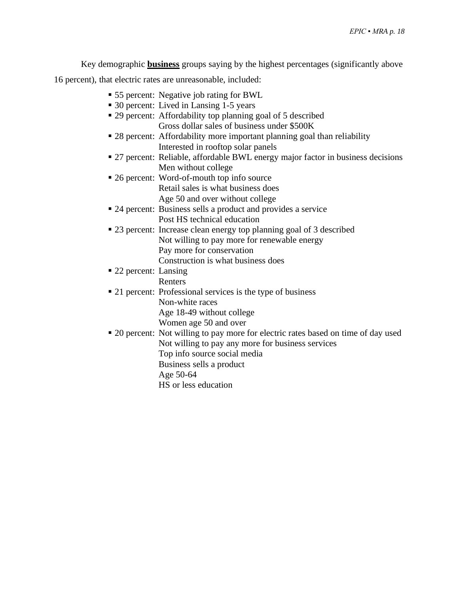Key demographic **business** groups saying by the highest percentages (significantly above

16 percent), that electric rates are unreasonable, included:

- 55 percent: Negative job rating for BWL
- 30 percent: Lived in Lansing 1-5 years
- 29 percent: Affordability top planning goal of 5 described Gross dollar sales of business under \$500K
- 28 percent: Affordability more important planning goal than reliability Interested in rooftop solar panels
- 27 percent: Reliable, affordable BWL energy major factor in business decisions Men without college
- 26 percent: Word-of-mouth top info source Retail sales is what business does Age 50 and over without college
- 24 percent: Business sells a product and provides a service Post HS technical education
- 23 percent: Increase clean energy top planning goal of 3 described Not willing to pay more for renewable energy Pay more for conservation
	- Construction is what business does
- 22 percent: Lansing Renters
- 21 percent: Professional services is the type of business Non-white races Age 18-49 without college Women age 50 and over
- 20 percent: Not willing to pay more for electric rates based on time of day used Not willing to pay any more for business services Top info source social media Business sells a product Age 50-64
	- HS or less education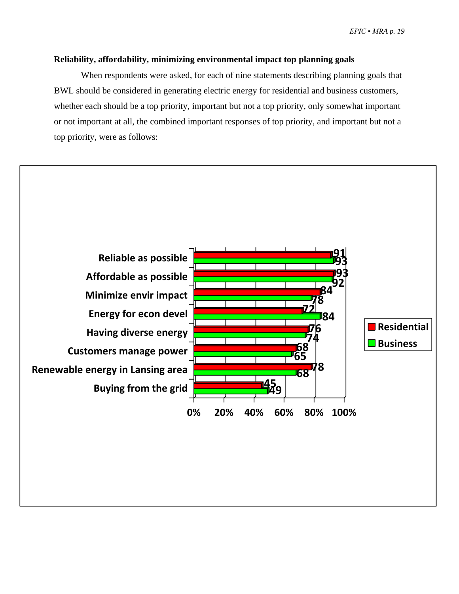#### <span id="page-20-0"></span>**Reliability, affordability, minimizing environmental impact top planning goals**

When respondents were asked, for each of nine statements describing planning goals that BWL should be considered in generating electric energy for residential and business customers, whether each should be a top priority, important but not a top priority, only somewhat important or not important at all, the combined important responses of top priority, and important but not a top priority, were as follows:

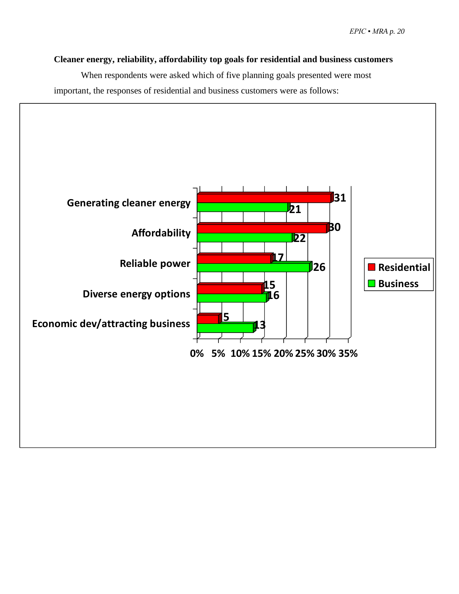#### <span id="page-21-0"></span>**Cleaner energy, reliability, affordability top goals for residential and business customers**

When respondents were asked which of five planning goals presented were most important, the responses of residential and business customers were as follows:

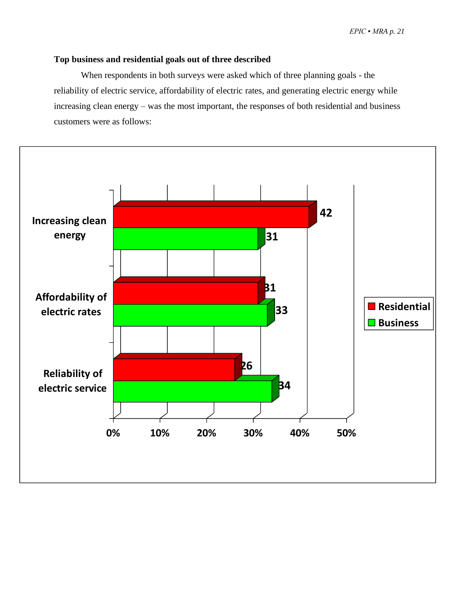#### <span id="page-22-0"></span>**Top business and residential goals out of three described**

When respondents in both surveys were asked which of three planning goals - the reliability of electric service, affordability of electric rates, and generating electric energy while increasing clean energy – was the most important, the responses of both residential and business customers were as follows:

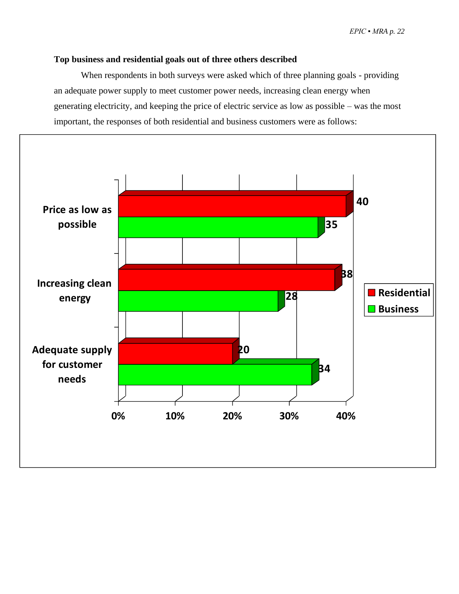#### <span id="page-23-0"></span>**Top business and residential goals out of three others described**

When respondents in both surveys were asked which of three planning goals - providing an adequate power supply to meet customer power needs, increasing clean energy when generating electricity, and keeping the price of electric service as low as possible – was the most important, the responses of both residential and business customers were as follows:

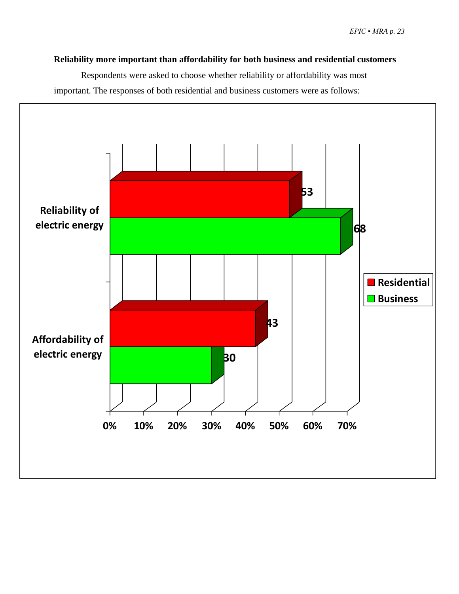#### <span id="page-24-0"></span>**Reliability more important than affordability for both business and residential customers**

Respondents were asked to choose whether reliability or affordability was most important. The responses of both residential and business customers were as follows:

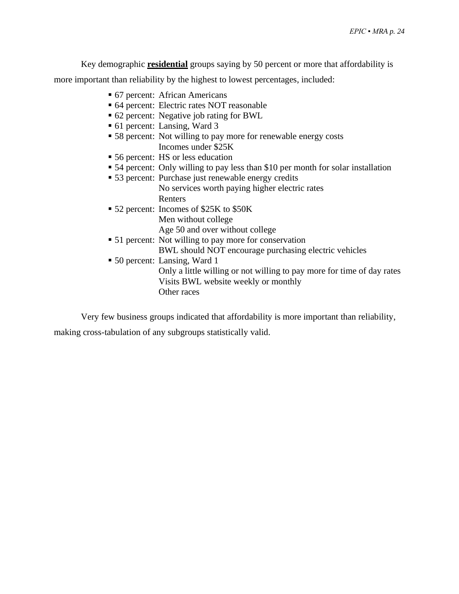Key demographic **residential** groups saying by 50 percent or more that affordability is

more important than reliability by the highest to lowest percentages, included:

- 67 percent: African Americans
- 64 percent: Electric rates NOT reasonable
- 62 percent: Negative job rating for BWL
- 61 percent: Lansing, Ward 3
- 58 percent: Not willing to pay more for renewable energy costs Incomes under \$25K
- 56 percent: HS or less education
- 54 percent: Only willing to pay less than \$10 per month for solar installation
- 53 percent: Purchase just renewable energy credits No services worth paying higher electric rates Renters
- 52 percent: Incomes of \$25K to \$50K Men without college Age 50 and over without college
- 51 percent: Not willing to pay more for conservation BWL should NOT encourage purchasing electric vehicles
- 50 percent: Lansing, Ward 1
	- Only a little willing or not willing to pay more for time of day rates Visits BWL website weekly or monthly Other races

Very few business groups indicated that affordability is more important than reliability,

making cross-tabulation of any subgroups statistically valid.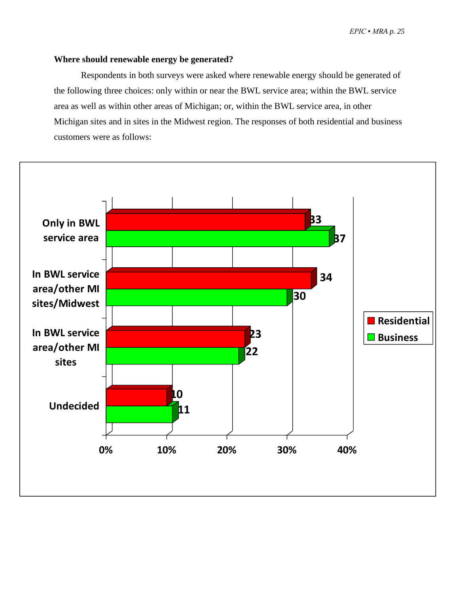#### <span id="page-26-0"></span>**Where should renewable energy be generated?**

Respondents in both surveys were asked where renewable energy should be generated of the following three choices: only within or near the BWL service area; within the BWL service area as well as within other areas of Michigan; or, within the BWL service area, in other Michigan sites and in sites in the Midwest region. The responses of both residential and business customers were as follows:

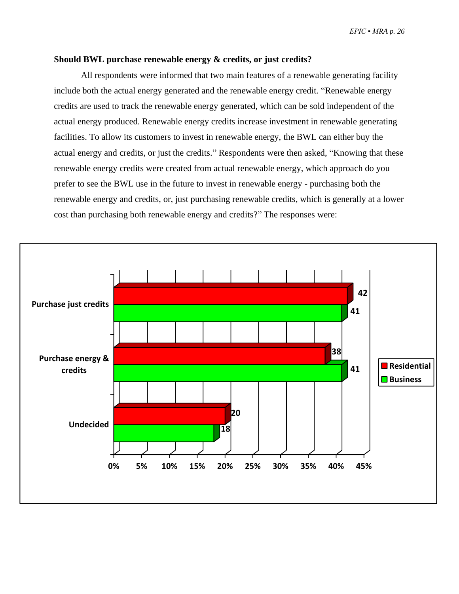#### <span id="page-27-0"></span>**Should BWL purchase renewable energy & credits, or just credits?**

All respondents were informed that two main features of a renewable generating facility include both the actual energy generated and the renewable energy credit. "Renewable energy credits are used to track the renewable energy generated, which can be sold independent of the actual energy produced. Renewable energy credits increase investment in renewable generating facilities. To allow its customers to invest in renewable energy, the BWL can either buy the actual energy and credits, or just the credits." Respondents were then asked, "Knowing that these renewable energy credits were created from actual renewable energy, which approach do you prefer to see the BWL use in the future to invest in renewable energy - purchasing both the renewable energy and credits, or, just purchasing renewable credits, which is generally at a lower cost than purchasing both renewable energy and credits?" The responses were:

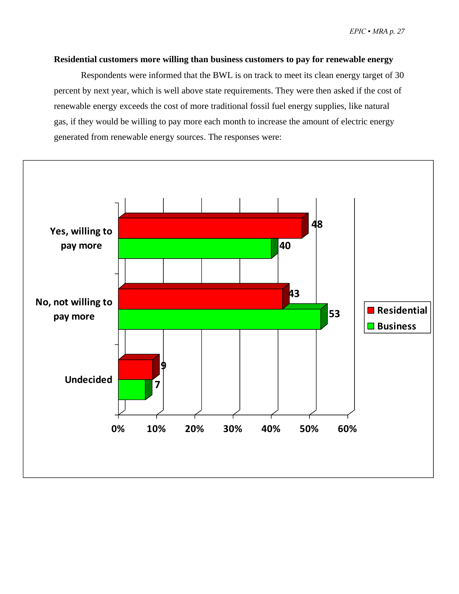#### <span id="page-28-0"></span>**Residential customers more willing than business customers to pay for renewable energy**

Respondents were informed that the BWL is on track to meet its clean energy target of 30 percent by next year, which is well above state requirements. They were then asked if the cost of renewable energy exceeds the cost of more traditional fossil fuel energy supplies, like natural gas, if they would be willing to pay more each month to increase the amount of electric energy generated from renewable energy sources. The responses were:

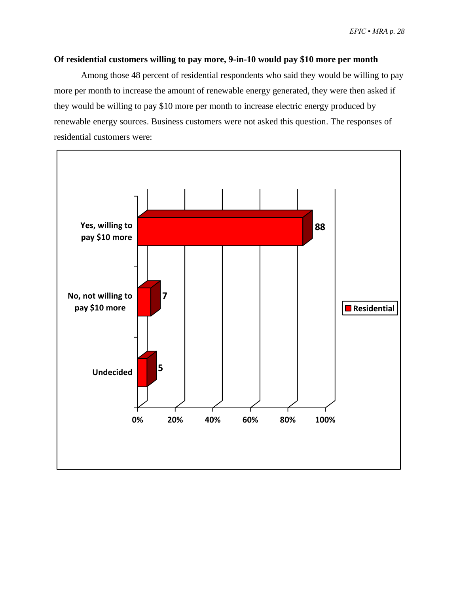#### <span id="page-29-0"></span>**Of residential customers willing to pay more, 9-in-10 would pay \$10 more per month**

Among those 48 percent of residential respondents who said they would be willing to pay more per month to increase the amount of renewable energy generated, they were then asked if they would be willing to pay \$10 more per month to increase electric energy produced by renewable energy sources. Business customers were not asked this question. The responses of residential customers were:

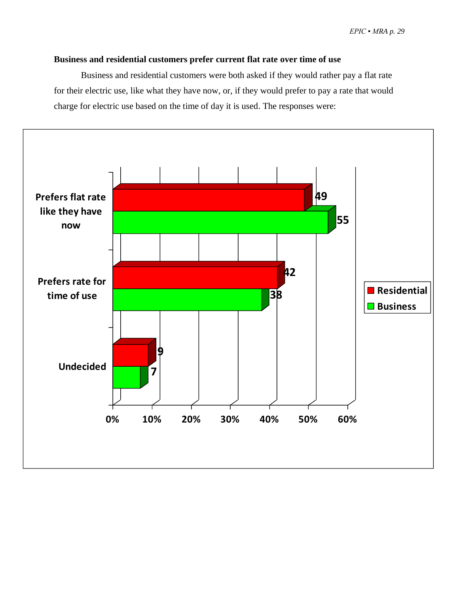#### **Business and residential customers prefer current flat rate over time of use**

Business and residential customers were both asked if they would rather pay a flat rate for their electric use, like what they have now, or, if they would prefer to pay a rate that would charge for electric use based on the time of day it is used. The responses were:

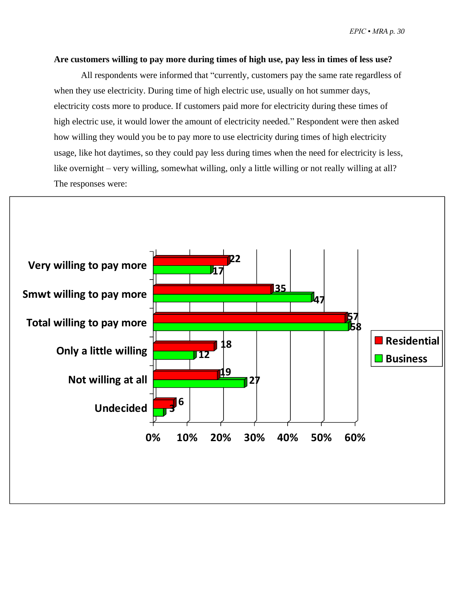#### <span id="page-31-0"></span>**Are customers willing to pay more during times of high use, pay less in times of less use?**

All respondents were informed that "currently, customers pay the same rate regardless of when they use electricity. During time of high electric use, usually on hot summer days, electricity costs more to produce. If customers paid more for electricity during these times of high electric use, it would lower the amount of electricity needed." Respondent were then asked how willing they would you be to pay more to use electricity during times of high electricity usage, like hot daytimes, so they could pay less during times when the need for electricity is less, like overnight – very willing, somewhat willing, only a little willing or not really willing at all? The responses were:

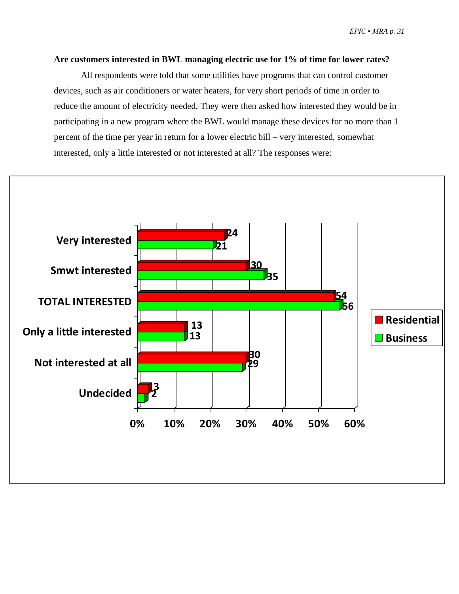#### <span id="page-32-0"></span>**Are customers interested in BWL managing electric use for 1% of time for lower rates?**

All respondents were told that some utilities have programs that can control customer devices, such as air conditioners or water heaters, for very short periods of time in order to reduce the amount of electricity needed. They were then asked how interested they would be in participating in a new program where the BWL would manage these devices for no more than 1 percent of the time per year in return for a lower electric bill – very interested, somewhat interested, only a little interested or not interested at all? The responses were:

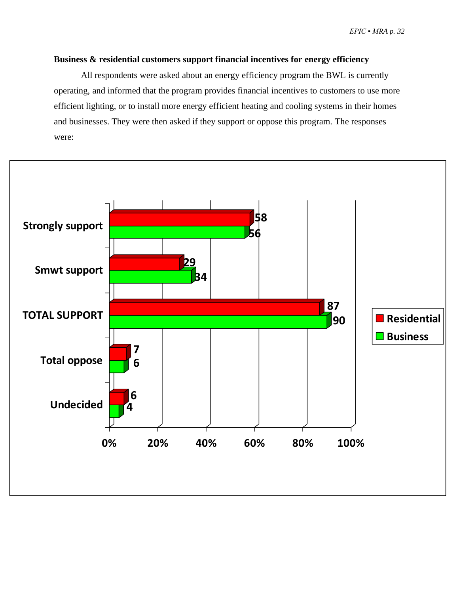#### <span id="page-33-0"></span>**Business & residential customers support financial incentives for energy efficiency**

All respondents were asked about an energy efficiency program the BWL is currently operating, and informed that the program provides financial incentives to customers to use more efficient lighting, or to install more energy efficient heating and cooling systems in their homes and businesses. They were then asked if they support or oppose this program. The responses were:

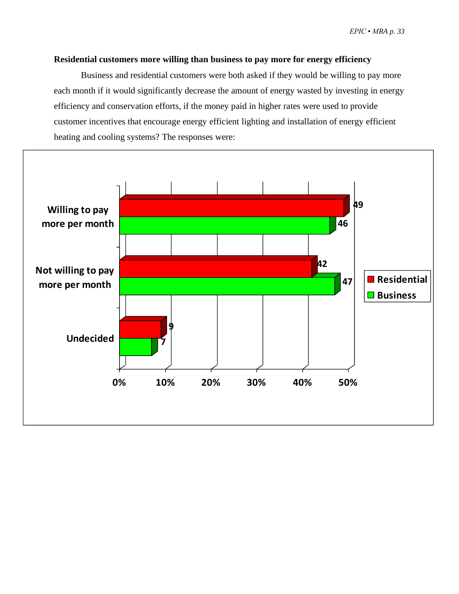#### <span id="page-34-0"></span>**Residential customers more willing than business to pay more for energy efficiency**

Business and residential customers were both asked if they would be willing to pay more each month if it would significantly decrease the amount of energy wasted by investing in energy efficiency and conservation efforts, if the money paid in higher rates were used to provide customer incentives that encourage energy efficient lighting and installation of energy efficient heating and cooling systems? The responses were:

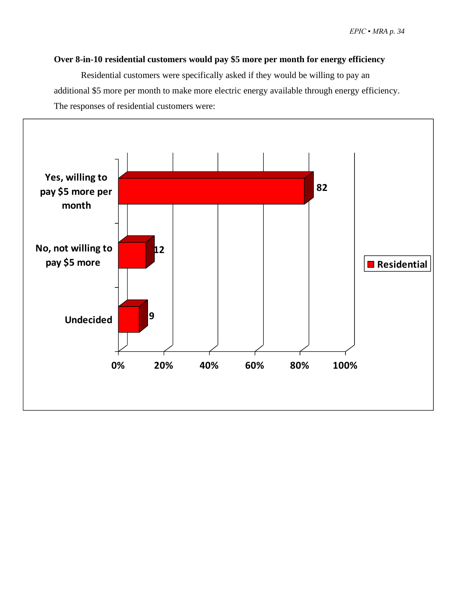#### <span id="page-35-0"></span>**Over 8-in-10 residential customers would pay \$5 more per month for energy efficiency**

Residential customers were specifically asked if they would be willing to pay an additional \$5 more per month to make more electric energy available through energy efficiency. The responses of residential customers were:

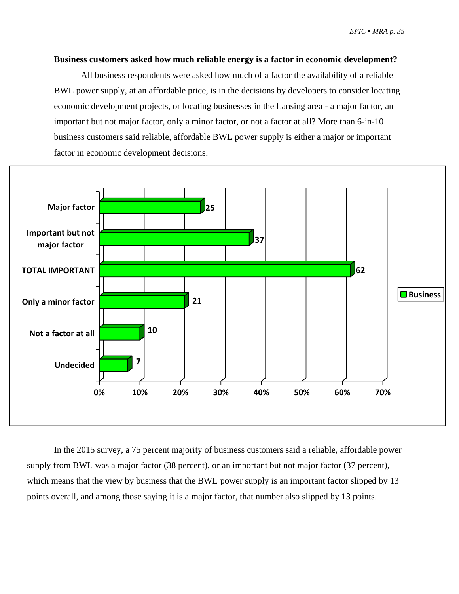#### <span id="page-36-0"></span>**Business customers asked how much reliable energy is a factor in economic development?**

All business respondents were asked how much of a factor the availability of a reliable BWL power supply, at an affordable price, is in the decisions by developers to consider locating economic development projects, or locating businesses in the Lansing area - a major factor, an important but not major factor, only a minor factor, or not a factor at all? More than 6-in-10 business customers said reliable, affordable BWL power supply is either a major or important factor in economic development decisions.



In the 2015 survey, a 75 percent majority of business customers said a reliable, affordable power supply from BWL was a major factor (38 percent), or an important but not major factor (37 percent), which means that the view by business that the BWL power supply is an important factor slipped by 13 points overall, and among those saying it is a major factor, that number also slipped by 13 points.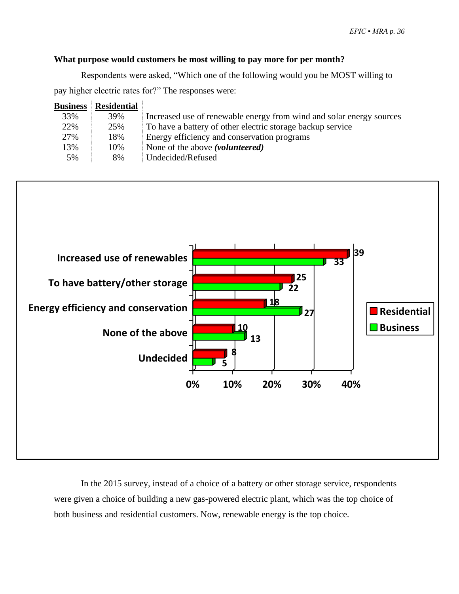#### **What purpose would customers be most willing to pay more for per month?**

Respondents were asked, "Which one of the following would you be MOST willing to pay higher electric rates for?" The responses were:

| <b>Business</b> | <b>Residential</b> |                                                                      |
|-----------------|--------------------|----------------------------------------------------------------------|
| 33%             | 39%                | Increased use of renewable energy from wind and solar energy sources |
| 22%             | 25%                | To have a battery of other electric storage backup service           |
| 27%             | 18%                | Energy efficiency and conservation programs                          |
| 13%             | 10%                | None of the above ( <i>volunteered</i> )                             |
| 5%              | 8%                 | Undecided/Refused                                                    |



In the 2015 survey, instead of a choice of a battery or other storage service, respondents were given a choice of building a new gas-powered electric plant, which was the top choice of both business and residential customers. Now, renewable energy is the top choice.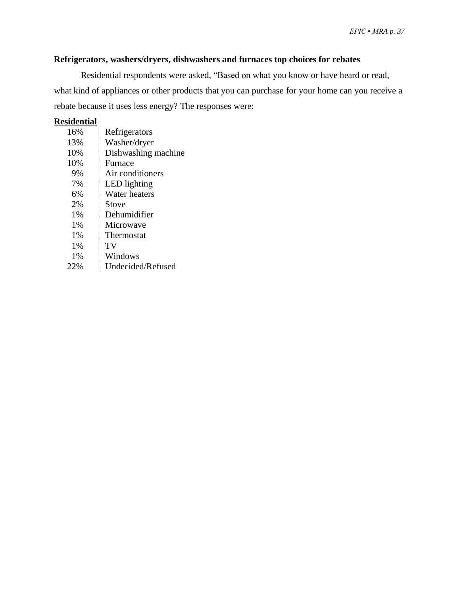#### <span id="page-38-0"></span>**Refrigerators, washers/dryers, dishwashers and furnaces top choices for rebates**

Residential respondents were asked, "Based on what you know or have heard or read, what kind of appliances or other products that you can purchase for your home can you receive a rebate because it uses less energy? The responses were:

#### **Residential**

| 16% | Refrigerators       |
|-----|---------------------|
| 13% | Washer/dryer        |
| 10% | Dishwashing machine |
| 10% | Furnace             |
| 9%  | Air conditioners    |
| 7%  | LED lighting        |
| 6%  | Water heaters       |
| 2%  | Stove               |
| 1%  | Dehumidifier        |
| 1%  | Microwave           |
| 1%  | Thermostat          |
| 1%  | TV                  |
| 1%  | Windows             |
| 22% | Undecided/Refused   |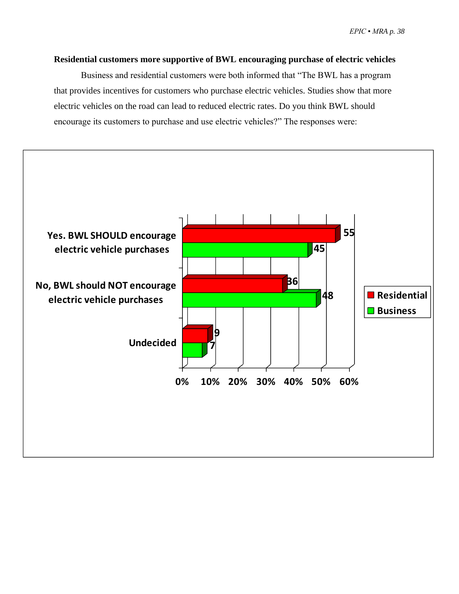#### <span id="page-39-0"></span>**Residential customers more supportive of BWL encouraging purchase of electric vehicles**

Business and residential customers were both informed that "The BWL has a program that provides incentives for customers who purchase electric vehicles. Studies show that more electric vehicles on the road can lead to reduced electric rates. Do you think BWL should encourage its customers to purchase and use electric vehicles?" The responses were:

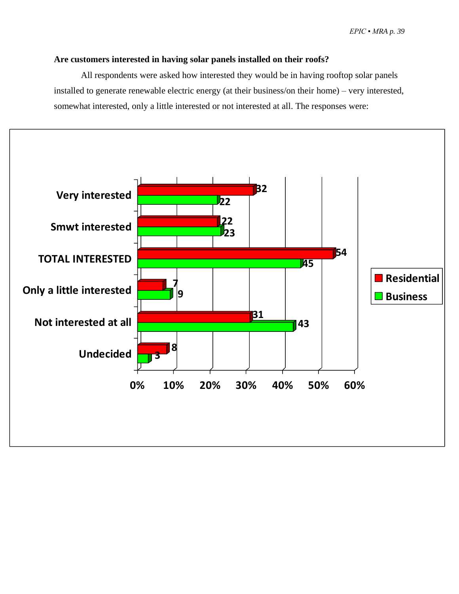#### <span id="page-40-0"></span>**Are customers interested in having solar panels installed on their roofs?**

All respondents were asked how interested they would be in having rooftop solar panels installed to generate renewable electric energy (at their business/on their home) – very interested, somewhat interested, only a little interested or not interested at all. The responses were:

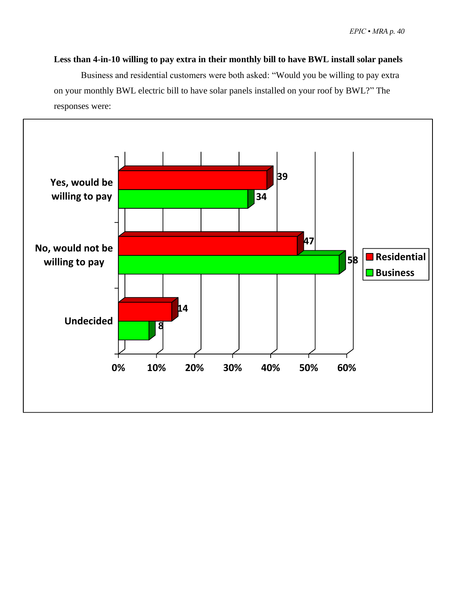<span id="page-41-0"></span>**Less than 4-in-10 willing to pay extra in their monthly bill to have BWL install solar panels** 

Business and residential customers were both asked: "Would you be willing to pay extra on your monthly BWL electric bill to have solar panels installed on your roof by BWL?" The responses were:

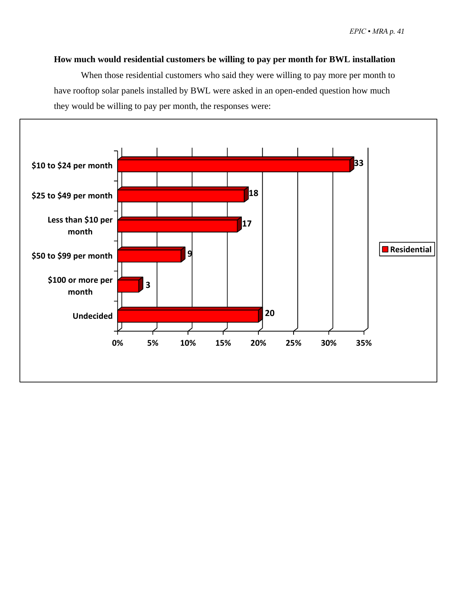#### <span id="page-42-0"></span>**How much would residential customers be willing to pay per month for BWL installation**

When those residential customers who said they were willing to pay more per month to have rooftop solar panels installed by BWL were asked in an open-ended question how much they would be willing to pay per month, the responses were:

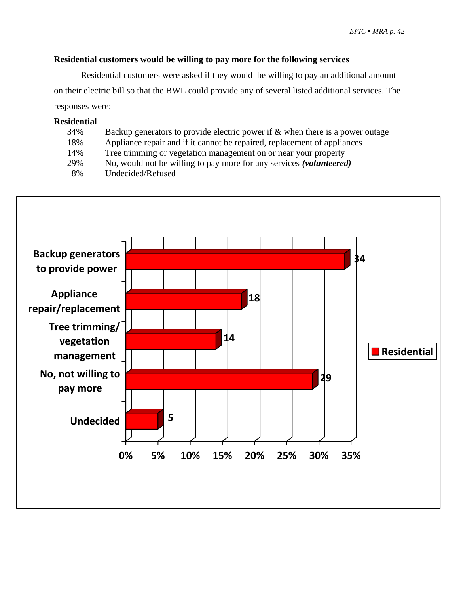#### **Residential customers would be willing to pay more for the following services**

Residential customers were asked if they would be willing to pay an additional amount on their electric bill so that the BWL could provide any of several listed additional services. The responses were:

#### **Residential**

| 34% | Backup generators to provide electric power if $\&$ when there is a power outage |
|-----|----------------------------------------------------------------------------------|
| 18% | Appliance repair and if it cannot be repaired, replacement of appliances         |
| 14% | Tree trimming or vegetation management on or near your property                  |
| 29% | No, would not be willing to pay more for any services (volunteered)              |
| 8%  | Undecided/Refused                                                                |

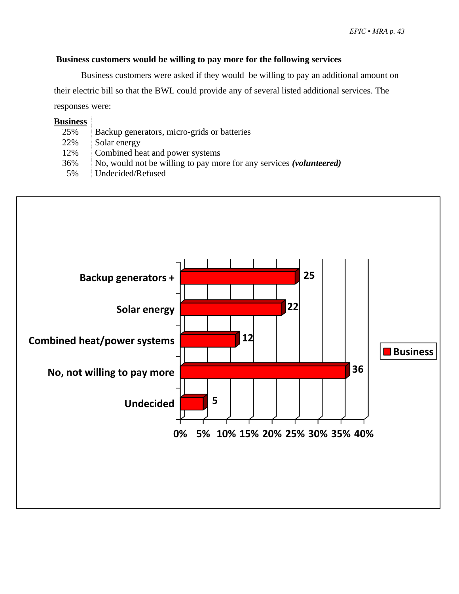#### **Business customers would be willing to pay more for the following services**

Business customers were asked if they would be willing to pay an additional amount on their electric bill so that the BWL could provide any of several listed additional services. The responses were:

| <b>Business</b> |                                                                     |
|-----------------|---------------------------------------------------------------------|
| 25%             | Backup generators, micro-grids or batteries                         |
| 22%             | Solar energy                                                        |
| 12%             | Combined heat and power systems                                     |
| 36%             | No, would not be willing to pay more for any services (volunteered) |
| 5%              | Undecided/Refused                                                   |
|                 |                                                                     |